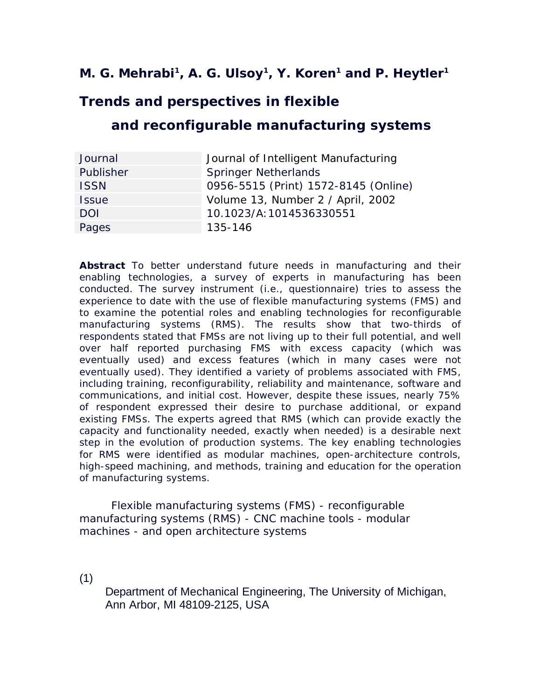# **M. G. Mehrabi<sup>1</sup>, A. G. Ulsoy<sup>1</sup>, Y. Koren<sup>1</sup> and P. Heytler<sup>1</sup>**

# **Trends and perspectives in flexible**

# **and reconfigurable manufacturing systems**

| Journal      | Journal of Intelligent Manufacturing |
|--------------|--------------------------------------|
| Publisher    | <b>Springer Netherlands</b>          |
| <b>ISSN</b>  | 0956-5515 (Print) 1572-8145 (Online) |
| <b>Issue</b> | Volume 13, Number 2 / April, 2002    |
| <b>DOI</b>   | 10.1023/A: 1014536330551             |
| Pages        | 135-146                              |

**Abstract** To better understand future needs in manufacturing and their enabling technologies, a survey of experts in manufacturing has been conducted. The survey instrument (i.e., questionnaire) tries to assess the experience to date with the use of flexible manufacturing systems (FMS) and to examine the potential roles and enabling technologies for reconfigurable manufacturing systems (RMS). The results show that two-thirds of respondents stated that FMSs are not living up to their full potential, and well over half reported purchasing FMS with excess capacity (which was eventually used) and excess features (which in many cases were not eventually used). They identified a variety of problems associated with FMS, including training, reconfigurability, reliability and maintenance, software and communications, and initial cost. However, despite these issues, nearly 75% of respondent expressed their desire to purchase additional, or expand existing FMSs. The experts agreed that RMS (which can provide exactly the capacity and functionality needed, exactly when needed) is a desirable next step in the evolution of production systems. The key enabling technologies for RMS were identified as modular machines, open-architecture controls, high-speed machining, and methods, training and education for the operation of manufacturing systems.

Flexible manufacturing systems (FMS) - reconfigurable manufacturing systems (RMS) - CNC machine tools - modular machines - and open architecture systems

(1)

Department of Mechanical Engineering, The University of Michigan, Ann Arbor, MI 48109-2125, USA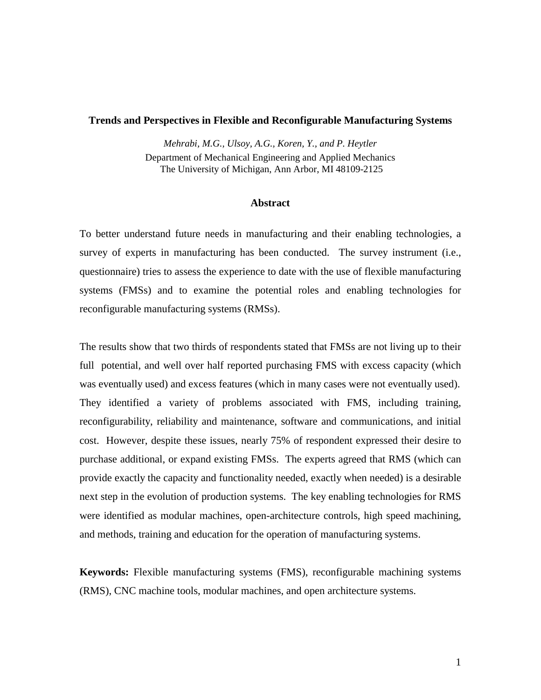#### **Trends and Perspectives in Flexible and Reconfigurable Manufacturing Systems**

*Mehrabi, M.G., Ulsoy, A.G., Koren, Y., and P. Heytler*  Department of Mechanical Engineering and Applied Mechanics The University of Michigan, Ann Arbor, MI 48109-2125

#### **Abstract**

To better understand future needs in manufacturing and their enabling technologies, a survey of experts in manufacturing has been conducted. The survey instrument (i.e., questionnaire) tries to assess the experience to date with the use of flexible manufacturing systems (FMSs) and to examine the potential roles and enabling technologies for reconfigurable manufacturing systems (RMSs).

The results show that two thirds of respondents stated that FMSs are not living up to their full potential, and well over half reported purchasing FMS with excess capacity (which was eventually used) and excess features (which in many cases were not eventually used). They identified a variety of problems associated with FMS, including training, reconfigurability, reliability and maintenance, software and communications, and initial cost. However, despite these issues, nearly 75% of respondent expressed their desire to purchase additional, or expand existing FMSs. The experts agreed that RMS (which can provide exactly the capacity and functionality needed, exactly when needed) is a desirable next step in the evolution of production systems. The key enabling technologies for RMS were identified as modular machines, open-architecture controls, high speed machining, and methods, training and education for the operation of manufacturing systems.

**Keywords:** Flexible manufacturing systems (FMS), reconfigurable machining systems (RMS), CNC machine tools, modular machines, and open architecture systems.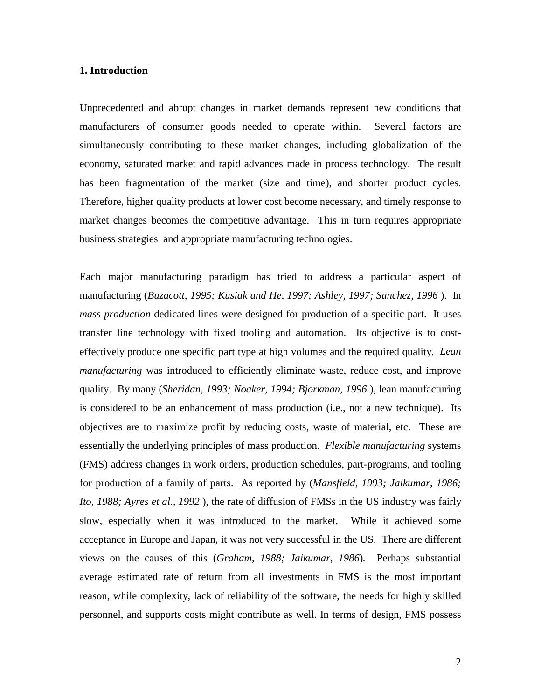# **1. Introduction**

Unprecedented and abrupt changes in market demands represent new conditions that manufacturers of consumer goods needed to operate within. Several factors are simultaneously contributing to these market changes, including globalization of the economy, saturated market and rapid advances made in process technology. The result has been fragmentation of the market (size and time), and shorter product cycles. Therefore, higher quality products at lower cost become necessary, and timely response to market changes becomes the competitive advantage. This in turn requires appropriate business strategies and appropriate manufacturing technologies.

Each major manufacturing paradigm has tried to address a particular aspect of manufacturing (*Buzacott, 1995; Kusiak and He, 1997; Ashley, 1997; Sanchez, 1996* ). In *mass production* dedicated lines were designed for production of a specific part. It uses transfer line technology with fixed tooling and automation. Its objective is to costeffectively produce one specific part type at high volumes and the required quality. *Lean manufacturing* was introduced to efficiently eliminate waste, reduce cost, and improve quality. By many (*Sheridan, 1993; Noaker, 1994; Bjorkman, 1996* ), lean manufacturing is considered to be an enhancement of mass production (i.e., not a new technique). Its objectives are to maximize profit by reducing costs, waste of material, etc. These are essentially the underlying principles of mass production. *Flexible manufacturing* systems (FMS) address changes in work orders, production schedules, part-programs, and tooling for production of a family of parts. As reported by (*Mansfield, 1993; Jaikumar, 1986; Ito, 1988; Ayres et al., 1992* ), the rate of diffusion of FMSs in the US industry was fairly slow, especially when it was introduced to the market. While it achieved some acceptance in Europe and Japan, it was not very successful in the US. There are different views on the causes of this (*Graham, 1988; Jaikumar, 1986*)*.* Perhaps substantial average estimated rate of return from all investments in FMS is the most important reason, while complexity, lack of reliability of the software, the needs for highly skilled personnel, and supports costs might contribute as well. In terms of design, FMS possess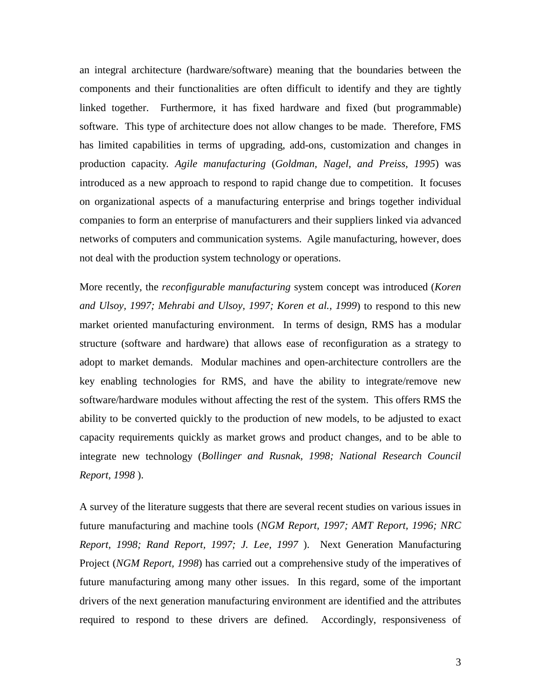an integral architecture (hardware/software) meaning that the boundaries between the components and their functionalities are often difficult to identify and they are tightly linked together. Furthermore, it has fixed hardware and fixed (but programmable) software. This type of architecture does not allow changes to be made. Therefore, FMS has limited capabilities in terms of upgrading, add-ons, customization and changes in production capacity*. Agile manufacturing* (*Goldman, Nagel, and Preiss, 1995*) was introduced as a new approach to respond to rapid change due to competition. It focuses on organizational aspects of a manufacturing enterprise and brings together individual companies to form an enterprise of manufacturers and their suppliers linked via advanced networks of computers and communication systems. Agile manufacturing, however, does not deal with the production system technology or operations.

More recently, the *reconfigurable manufacturing* system concept was introduced (*Koren and Ulsoy, 1997; Mehrabi and Ulsoy, 1997; Koren et al., 1999*) to respond to this new market oriented manufacturing environment. In terms of design, RMS has a modular structure (software and hardware) that allows ease of reconfiguration as a strategy to adopt to market demands. Modular machines and open-architecture controllers are the key enabling technologies for RMS, and have the ability to integrate/remove new software/hardware modules without affecting the rest of the system. This offers RMS the ability to be converted quickly to the production of new models, to be adjusted to exact capacity requirements quickly as market grows and product changes, and to be able to integrate new technology (*Bollinger and Rusnak, 1998; National Research Council Report, 1998* ).

A survey of the literature suggests that there are several recent studies on various issues in future manufacturing and machine tools (*NGM Report, 1997; AMT Report, 1996; NRC Report, 1998; Rand Report, 1997; J. Lee, 1997* ). Next Generation Manufacturing Project (*NGM Report, 1998*) has carried out a comprehensive study of the imperatives of future manufacturing among many other issues. In this regard, some of the important drivers of the next generation manufacturing environment are identified and the attributes required to respond to these drivers are defined. Accordingly, responsiveness of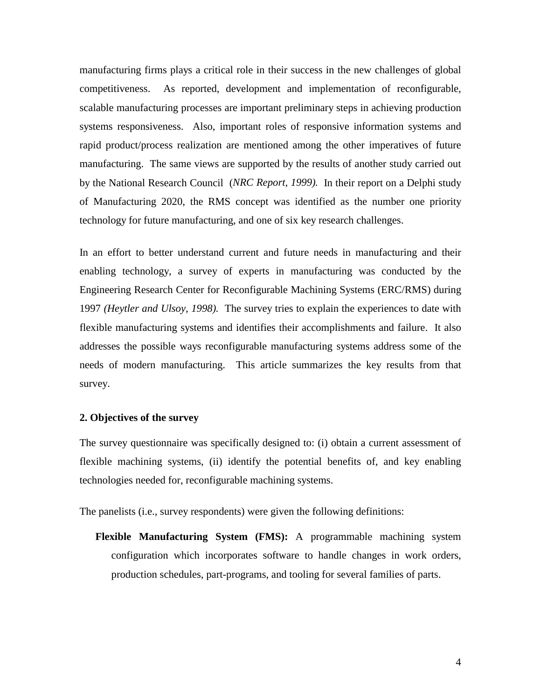manufacturing firms plays a critical role in their success in the new challenges of global competitiveness. As reported, development and implementation of reconfigurable, scalable manufacturing processes are important preliminary steps in achieving production systems responsiveness. Also, important roles of responsive information systems and rapid product/process realization are mentioned among the other imperatives of future manufacturing. The same views are supported by the results of another study carried out by the National Research Council (*NRC Report, 1999).* In their report on a Delphi study of Manufacturing 2020, the RMS concept was identified as the number one priority technology for future manufacturing, and one of six key research challenges.

In an effort to better understand current and future needs in manufacturing and their enabling technology, a survey of experts in manufacturing was conducted by the Engineering Research Center for Reconfigurable Machining Systems (ERC/RMS) during 1997 *(Heytler and Ulsoy, 1998).* The survey tries to explain the experiences to date with flexible manufacturing systems and identifies their accomplishments and failure. It also addresses the possible ways reconfigurable manufacturing systems address some of the needs of modern manufacturing. This article summarizes the key results from that survey.

# **2. Objectives of the survey**

The survey questionnaire was specifically designed to: (i) obtain a current assessment of flexible machining systems, (ii) identify the potential benefits of, and key enabling technologies needed for, reconfigurable machining systems.

The panelists (i.e., survey respondents) were given the following definitions:

**Flexible Manufacturing System (FMS):** A programmable machining system configuration which incorporates software to handle changes in work orders, production schedules, part-programs, and tooling for several families of parts.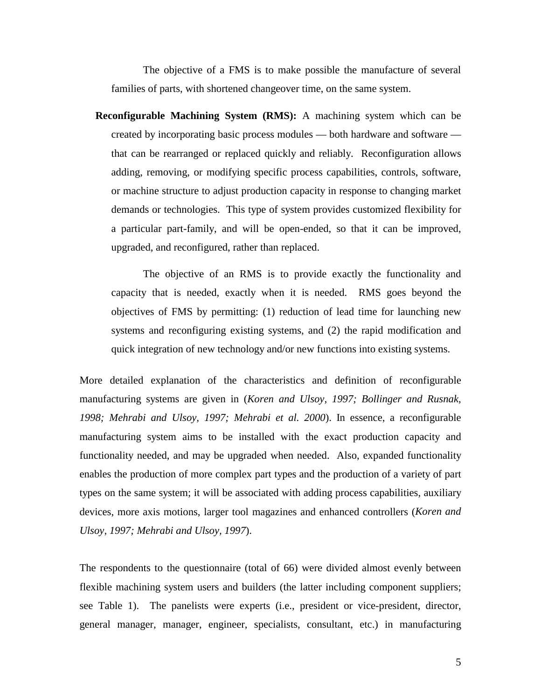The objective of a FMS is to make possible the manufacture of several families of parts, with shortened changeover time, on the same system.

**Reconfigurable Machining System (RMS):** A machining system which can be created by incorporating basic process modules — both hardware and software that can be rearranged or replaced quickly and reliably. Reconfiguration allows adding, removing, or modifying specific process capabilities, controls, software, or machine structure to adjust production capacity in response to changing market demands or technologies. This type of system provides customized flexibility for a particular part-family, and will be open-ended, so that it can be improved, upgraded, and reconfigured, rather than replaced.

 The objective of an RMS is to provide exactly the functionality and capacity that is needed, exactly when it is needed. RMS goes beyond the objectives of FMS by permitting: (1) reduction of lead time for launching new systems and reconfiguring existing systems, and (2) the rapid modification and quick integration of new technology and/or new functions into existing systems.

More detailed explanation of the characteristics and definition of reconfigurable manufacturing systems are given in (*Koren and Ulsoy, 1997; Bollinger and Rusnak, 1998; Mehrabi and Ulsoy, 1997; Mehrabi et al. 2000*). In essence, a reconfigurable manufacturing system aims to be installed with the exact production capacity and functionality needed, and may be upgraded when needed. Also, expanded functionality enables the production of more complex part types and the production of a variety of part types on the same system; it will be associated with adding process capabilities, auxiliary devices, more axis motions, larger tool magazines and enhanced controllers (*Koren and Ulsoy, 1997; Mehrabi and Ulsoy, 1997*).

The respondents to the questionnaire (total of 66) were divided almost evenly between flexible machining system users and builders (the latter including component suppliers; see Table 1). The panelists were experts (i.e., president or vice-president, director, general manager, manager, engineer, specialists, consultant, etc.) in manufacturing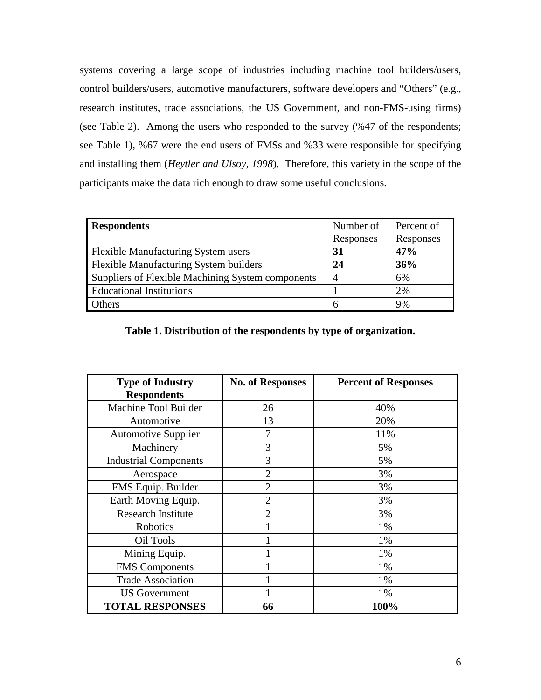systems covering a large scope of industries including machine tool builders/users, control builders/users, automotive manufacturers, software developers and "Others" (e.g., research institutes, trade associations, the US Government, and non-FMS-using firms) (see Table 2). Among the users who responded to the survey (%47 of the respondents; see Table 1), %67 were the end users of FMSs and %33 were responsible for specifying and installing them (*Heytler and Ulsoy, 1998*). Therefore, this variety in the scope of the participants make the data rich enough to draw some useful conclusions.

| <b>Respondents</b>                                | Number of      | Percent of |
|---------------------------------------------------|----------------|------------|
|                                                   | Responses      | Responses  |
| <b>Flexible Manufacturing System users</b>        | 31             | 47%        |
| Flexible Manufacturing System builders            | 24             | 36%        |
| Suppliers of Flexible Machining System components | $\overline{A}$ | 6%         |
| <b>Educational Institutions</b>                   |                | 2%         |
| <b>Others</b>                                     | 6              | 9%         |

|  |  |  | Table 1. Distribution of the respondents by type of organization. |
|--|--|--|-------------------------------------------------------------------|
|--|--|--|-------------------------------------------------------------------|

| <b>Type of Industry</b><br><b>Respondents</b> | <b>No. of Responses</b> | <b>Percent of Responses</b> |
|-----------------------------------------------|-------------------------|-----------------------------|
| Machine Tool Builder                          | 26                      | 40%                         |
| Automotive                                    | 13                      | 20%                         |
| <b>Automotive Supplier</b>                    | 7                       | 11%                         |
| Machinery                                     | 3                       | 5%                          |
| <b>Industrial Components</b>                  | 3                       | 5%                          |
| Aerospace                                     | $\overline{2}$          | 3%                          |
| FMS Equip. Builder                            | $\overline{2}$          | 3%                          |
| Earth Moving Equip.                           | $\overline{2}$          | 3%                          |
| <b>Research Institute</b>                     | $\overline{c}$          | 3%                          |
| Robotics                                      |                         | 1%                          |
| Oil Tools                                     |                         | 1%                          |
| Mining Equip.                                 |                         | 1%                          |
| <b>FMS</b> Components                         |                         | 1%                          |
| <b>Trade Association</b>                      |                         | 1%                          |
| <b>US</b> Government                          |                         | 1%                          |
| <b>TOTAL RESPONSES</b>                        | 66                      | 100%                        |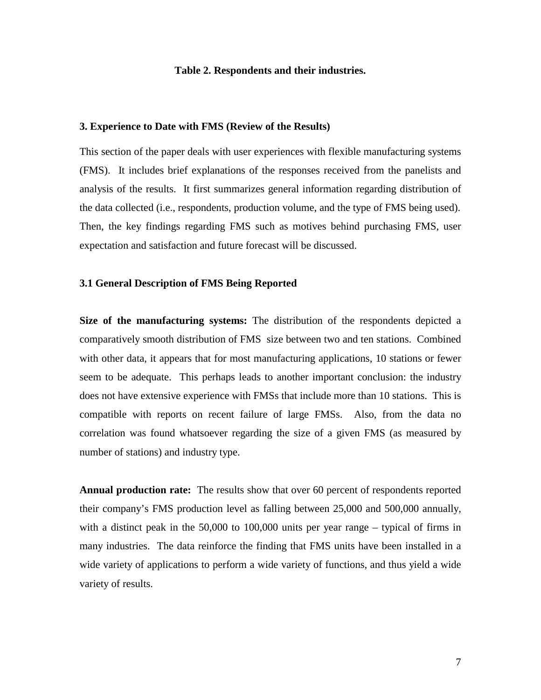## **Table 2. Respondents and their industries.**

### **3. Experience to Date with FMS (Review of the Results)**

This section of the paper deals with user experiences with flexible manufacturing systems (FMS). It includes brief explanations of the responses received from the panelists and analysis of the results. It first summarizes general information regarding distribution of the data collected (i.e., respondents, production volume, and the type of FMS being used). Then, the key findings regarding FMS such as motives behind purchasing FMS, user expectation and satisfaction and future forecast will be discussed.

# **3.1 General Description of FMS Being Reported**

**Size of the manufacturing systems:** The distribution of the respondents depicted a comparatively smooth distribution of FMS size between two and ten stations. Combined with other data, it appears that for most manufacturing applications, 10 stations or fewer seem to be adequate. This perhaps leads to another important conclusion: the industry does not have extensive experience with FMSs that include more than 10 stations. This is compatible with reports on recent failure of large FMSs. Also, from the data no correlation was found whatsoever regarding the size of a given FMS (as measured by number of stations) and industry type.

**Annual production rate:** The results show that over 60 percent of respondents reported their company's FMS production level as falling between 25,000 and 500,000 annually, with a distinct peak in the 50,000 to 100,000 units per year range – typical of firms in many industries. The data reinforce the finding that FMS units have been installed in a wide variety of applications to perform a wide variety of functions, and thus yield a wide variety of results.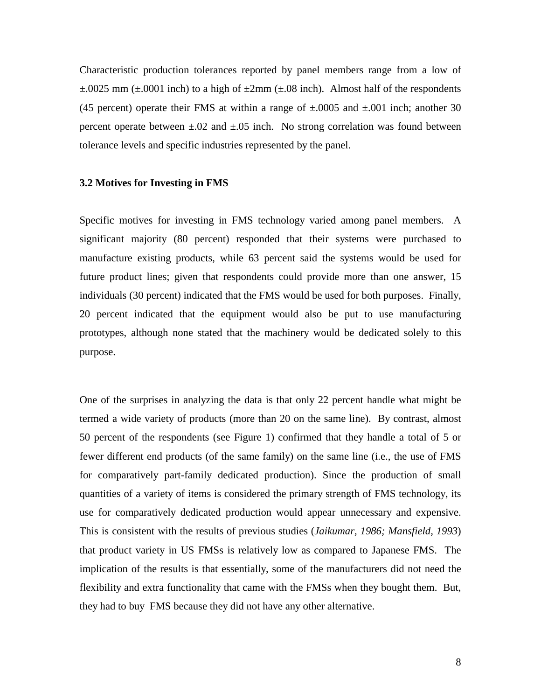Characteristic production tolerances reported by panel members range from a low of  $\pm$ .0025 mm ( $\pm$ .0001 inch) to a high of  $\pm$ 2mm ( $\pm$ .08 inch). Almost half of the respondents (45 percent) operate their FMS at within a range of  $\pm 0.0005$  and  $\pm 0.001$  inch; another 30 percent operate between  $\pm 0.02$  and  $\pm 0.05$  inch. No strong correlation was found between tolerance levels and specific industries represented by the panel.

## **3.2 Motives for Investing in FMS**

Specific motives for investing in FMS technology varied among panel members. A significant majority (80 percent) responded that their systems were purchased to manufacture existing products, while 63 percent said the systems would be used for future product lines; given that respondents could provide more than one answer, 15 individuals (30 percent) indicated that the FMS would be used for both purposes. Finally, 20 percent indicated that the equipment would also be put to use manufacturing prototypes, although none stated that the machinery would be dedicated solely to this purpose.

One of the surprises in analyzing the data is that only 22 percent handle what might be termed a wide variety of products (more than 20 on the same line). By contrast, almost 50 percent of the respondents (see Figure 1) confirmed that they handle a total of 5 or fewer different end products (of the same family) on the same line (i.e., the use of FMS for comparatively part-family dedicated production). Since the production of small quantities of a variety of items is considered the primary strength of FMS technology, its use for comparatively dedicated production would appear unnecessary and expensive. This is consistent with the results of previous studies (*Jaikumar, 1986; Mansfield, 1993*) that product variety in US FMSs is relatively low as compared to Japanese FMS. The implication of the results is that essentially, some of the manufacturers did not need the flexibility and extra functionality that came with the FMSs when they bought them. But, they had to buy FMS because they did not have any other alternative.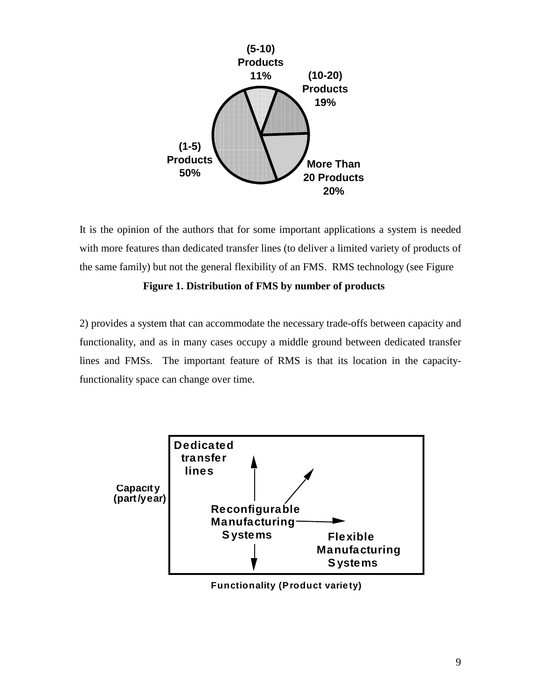

It is the opinion of the authors that for some important applications a system is needed with more features than dedicated transfer lines (to deliver a limited variety of products of the same family) but not the general flexibility of an FMS. RMS technology (see Figure

# **Figure 1. Distribution of FMS by number of products**

2) provides a system that can accommodate the necessary trade-offs between capacity and functionality, and as in many cases occupy a middle ground between dedicated transfer lines and FMSs. The important feature of RMS is that its location in the capacityfunctionality space can change over time.



 **Functionality (Product variety)**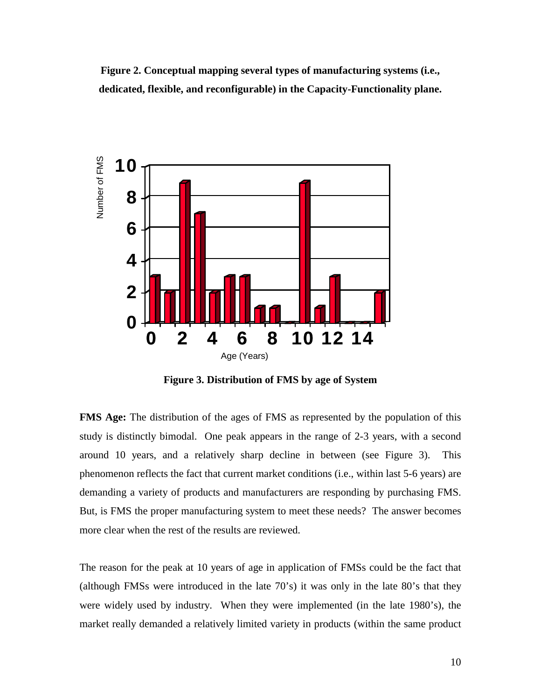**Figure 2. Conceptual mapping several types of manufacturing systems (i.e., dedicated, flexible, and reconfigurable) in the Capacity-Functionality plane.** 



**Figure 3. Distribution of FMS by age of System** 

**FMS Age:** The distribution of the ages of FMS as represented by the population of this study is distinctly bimodal. One peak appears in the range of 2-3 years, with a second around 10 years, and a relatively sharp decline in between (see Figure 3). This phenomenon reflects the fact that current market conditions (i.e., within last 5-6 years) are demanding a variety of products and manufacturers are responding by purchasing FMS. But, is FMS the proper manufacturing system to meet these needs? The answer becomes more clear when the rest of the results are reviewed.

The reason for the peak at 10 years of age in application of FMSs could be the fact that (although FMSs were introduced in the late 70's) it was only in the late 80's that they were widely used by industry. When they were implemented (in the late 1980's), the market really demanded a relatively limited variety in products (within the same product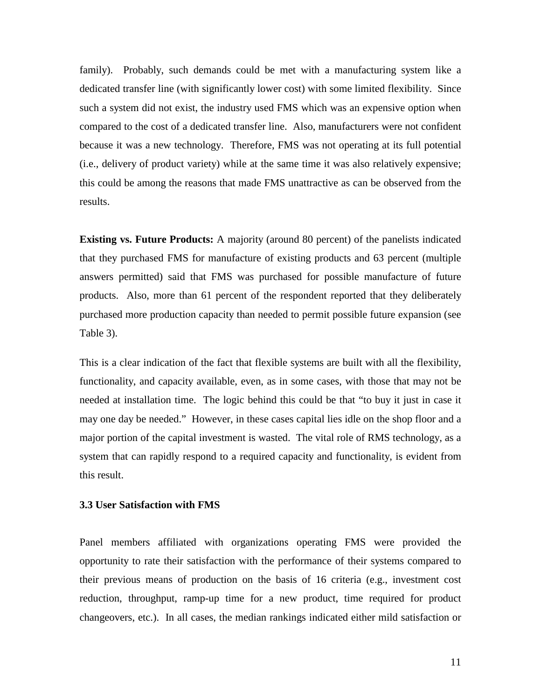family). Probably, such demands could be met with a manufacturing system like a dedicated transfer line (with significantly lower cost) with some limited flexibility. Since such a system did not exist, the industry used FMS which was an expensive option when compared to the cost of a dedicated transfer line. Also, manufacturers were not confident because it was a new technology. Therefore, FMS was not operating at its full potential (i.e., delivery of product variety) while at the same time it was also relatively expensive; this could be among the reasons that made FMS unattractive as can be observed from the results.

**Existing vs. Future Products:** A majority (around 80 percent) of the panelists indicated that they purchased FMS for manufacture of existing products and 63 percent (multiple answers permitted) said that FMS was purchased for possible manufacture of future products. Also, more than 61 percent of the respondent reported that they deliberately purchased more production capacity than needed to permit possible future expansion (see Table 3).

This is a clear indication of the fact that flexible systems are built with all the flexibility, functionality, and capacity available, even, as in some cases, with those that may not be needed at installation time. The logic behind this could be that "to buy it just in case it may one day be needed." However, in these cases capital lies idle on the shop floor and a major portion of the capital investment is wasted. The vital role of RMS technology, as a system that can rapidly respond to a required capacity and functionality, is evident from this result.

# **3.3 User Satisfaction with FMS**

Panel members affiliated with organizations operating FMS were provided the opportunity to rate their satisfaction with the performance of their systems compared to their previous means of production on the basis of 16 criteria (e.g., investment cost reduction, throughput, ramp-up time for a new product, time required for product changeovers, etc.). In all cases, the median rankings indicated either mild satisfaction or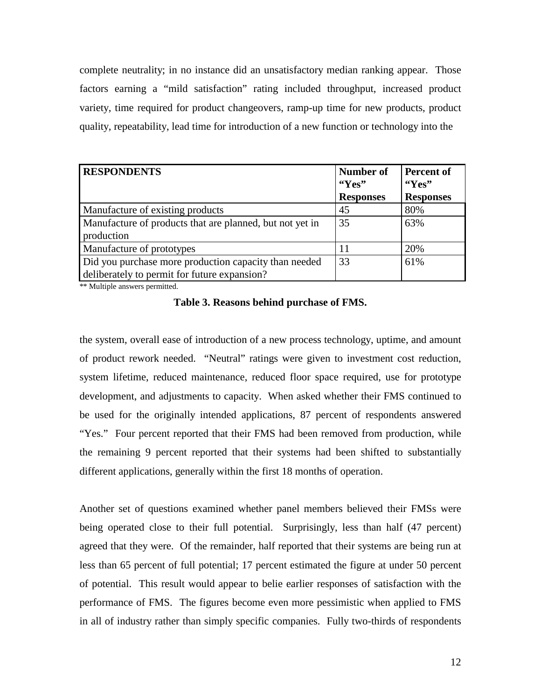complete neutrality; in no instance did an unsatisfactory median ranking appear. Those factors earning a "mild satisfaction" rating included throughput, increased product variety, time required for product changeovers, ramp-up time for new products, product quality, repeatability, lead time for introduction of a new function or technology into the

| <b>RESPONDENTS</b>                                       | Number of<br>"Yes" | <b>Percent of</b><br>$\mathbf{``Yes''}$ |
|----------------------------------------------------------|--------------------|-----------------------------------------|
|                                                          | <b>Responses</b>   | <b>Responses</b>                        |
| Manufacture of existing products                         | 45                 | 80%                                     |
| Manufacture of products that are planned, but not yet in | 35                 | 63%                                     |
| production                                               |                    |                                         |
| Manufacture of prototypes                                |                    | 20%                                     |
| Did you purchase more production capacity than needed    | 33                 | 61%                                     |
| deliberately to permit for future expansion?             |                    |                                         |

\*\* Multiple answers permitted.

**Table 3. Reasons behind purchase of FMS.** 

the system, overall ease of introduction of a new process technology, uptime, and amount of product rework needed. "Neutral" ratings were given to investment cost reduction, system lifetime, reduced maintenance, reduced floor space required, use for prototype development, and adjustments to capacity. When asked whether their FMS continued to be used for the originally intended applications, 87 percent of respondents answered "Yes." Four percent reported that their FMS had been removed from production, while the remaining 9 percent reported that their systems had been shifted to substantially different applications, generally within the first 18 months of operation.

Another set of questions examined whether panel members believed their FMSs were being operated close to their full potential. Surprisingly, less than half (47 percent) agreed that they were. Of the remainder, half reported that their systems are being run at less than 65 percent of full potential; 17 percent estimated the figure at under 50 percent of potential. This result would appear to belie earlier responses of satisfaction with the performance of FMS. The figures become even more pessimistic when applied to FMS in all of industry rather than simply specific companies. Fully two-thirds of respondents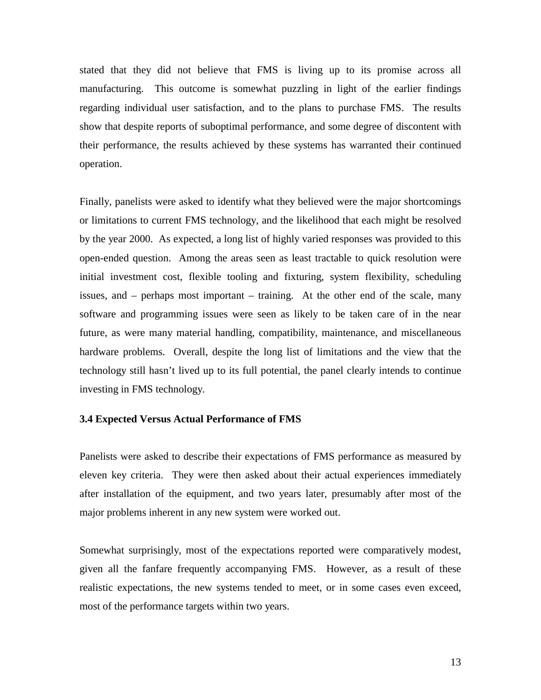stated that they did not believe that FMS is living up to its promise across all manufacturing. This outcome is somewhat puzzling in light of the earlier findings regarding individual user satisfaction, and to the plans to purchase FMS. The results show that despite reports of suboptimal performance, and some degree of discontent with their performance, the results achieved by these systems has warranted their continued operation.

Finally, panelists were asked to identify what they believed were the major shortcomings or limitations to current FMS technology, and the likelihood that each might be resolved by the year 2000. As expected, a long list of highly varied responses was provided to this open-ended question. Among the areas seen as least tractable to quick resolution were initial investment cost, flexible tooling and fixturing, system flexibility, scheduling issues, and – perhaps most important – training. At the other end of the scale, many software and programming issues were seen as likely to be taken care of in the near future, as were many material handling, compatibility, maintenance, and miscellaneous hardware problems. Overall, despite the long list of limitations and the view that the technology still hasn't lived up to its full potential, the panel clearly intends to continue investing in FMS technology.

# **3.4 Expected Versus Actual Performance of FMS**

Panelists were asked to describe their expectations of FMS performance as measured by eleven key criteria. They were then asked about their actual experiences immediately after installation of the equipment, and two years later, presumably after most of the major problems inherent in any new system were worked out.

Somewhat surprisingly, most of the expectations reported were comparatively modest, given all the fanfare frequently accompanying FMS. However, as a result of these realistic expectations, the new systems tended to meet, or in some cases even exceed, most of the performance targets within two years.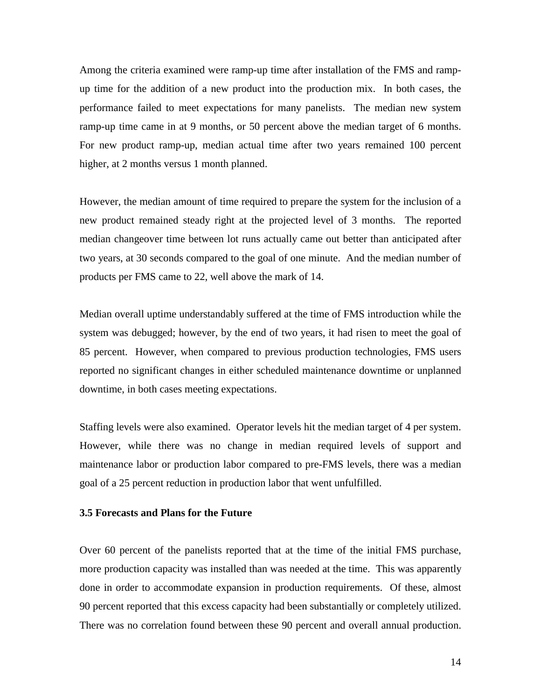Among the criteria examined were ramp-up time after installation of the FMS and rampup time for the addition of a new product into the production mix. In both cases, the performance failed to meet expectations for many panelists. The median new system ramp-up time came in at 9 months, or 50 percent above the median target of 6 months. For new product ramp-up, median actual time after two years remained 100 percent higher, at 2 months versus 1 month planned.

However, the median amount of time required to prepare the system for the inclusion of a new product remained steady right at the projected level of 3 months. The reported median changeover time between lot runs actually came out better than anticipated after two years, at 30 seconds compared to the goal of one minute. And the median number of products per FMS came to 22, well above the mark of 14.

Median overall uptime understandably suffered at the time of FMS introduction while the system was debugged; however, by the end of two years, it had risen to meet the goal of 85 percent. However, when compared to previous production technologies, FMS users reported no significant changes in either scheduled maintenance downtime or unplanned downtime, in both cases meeting expectations.

Staffing levels were also examined. Operator levels hit the median target of 4 per system. However, while there was no change in median required levels of support and maintenance labor or production labor compared to pre-FMS levels, there was a median goal of a 25 percent reduction in production labor that went unfulfilled.

# **3.5 Forecasts and Plans for the Future**

Over 60 percent of the panelists reported that at the time of the initial FMS purchase, more production capacity was installed than was needed at the time. This was apparently done in order to accommodate expansion in production requirements. Of these, almost 90 percent reported that this excess capacity had been substantially or completely utilized. There was no correlation found between these 90 percent and overall annual production.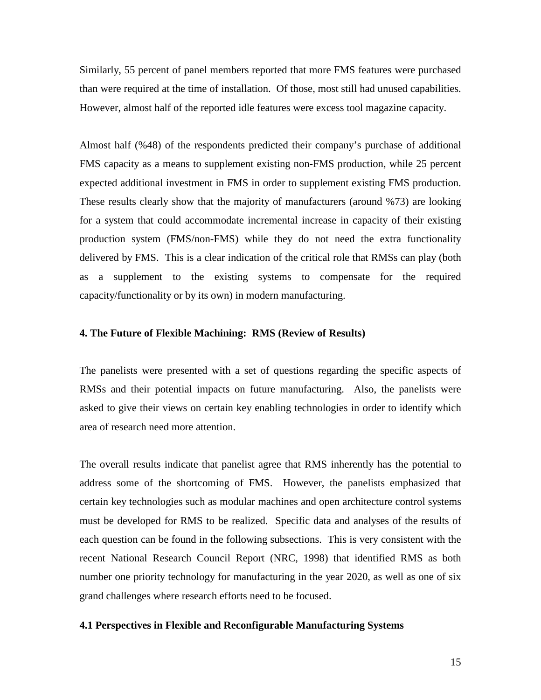Similarly, 55 percent of panel members reported that more FMS features were purchased than were required at the time of installation. Of those, most still had unused capabilities. However, almost half of the reported idle features were excess tool magazine capacity.

Almost half (%48) of the respondents predicted their company's purchase of additional FMS capacity as a means to supplement existing non-FMS production, while 25 percent expected additional investment in FMS in order to supplement existing FMS production. These results clearly show that the majority of manufacturers (around %73) are looking for a system that could accommodate incremental increase in capacity of their existing production system (FMS/non-FMS) while they do not need the extra functionality delivered by FMS. This is a clear indication of the critical role that RMSs can play (both as a supplement to the existing systems to compensate for the required capacity/functionality or by its own) in modern manufacturing.

# **4. The Future of Flexible Machining: RMS (Review of Results)**

The panelists were presented with a set of questions regarding the specific aspects of RMSs and their potential impacts on future manufacturing. Also, the panelists were asked to give their views on certain key enabling technologies in order to identify which area of research need more attention.

The overall results indicate that panelist agree that RMS inherently has the potential to address some of the shortcoming of FMS. However, the panelists emphasized that certain key technologies such as modular machines and open architecture control systems must be developed for RMS to be realized. Specific data and analyses of the results of each question can be found in the following subsections. This is very consistent with the recent National Research Council Report (NRC, 1998) that identified RMS as both number one priority technology for manufacturing in the year 2020, as well as one of six grand challenges where research efforts need to be focused.

#### **4.1 Perspectives in Flexible and Reconfigurable Manufacturing Systems**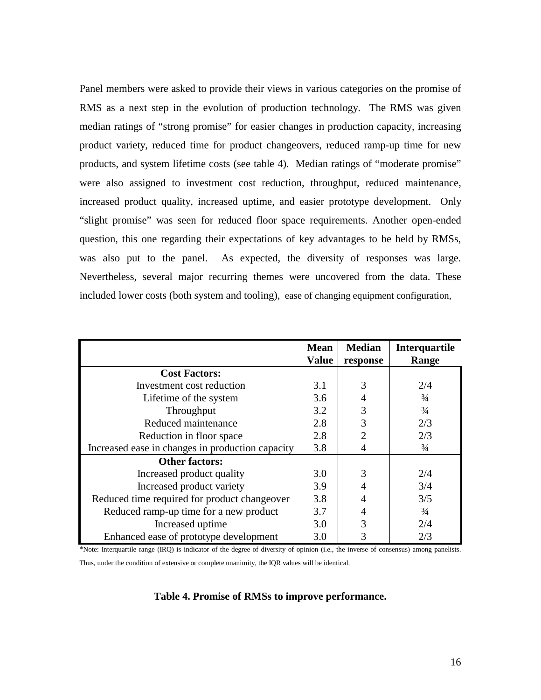Panel members were asked to provide their views in various categories on the promise of RMS as a next step in the evolution of production technology. The RMS was given median ratings of "strong promise" for easier changes in production capacity, increasing product variety, reduced time for product changeovers, reduced ramp-up time for new products, and system lifetime costs (see table 4). Median ratings of "moderate promise" were also assigned to investment cost reduction, throughput, reduced maintenance, increased product quality, increased uptime, and easier prototype development. Only "slight promise" was seen for reduced floor space requirements. Another open-ended question, this one regarding their expectations of key advantages to be held by RMSs, was also put to the panel. As expected, the diversity of responses was large. Nevertheless, several major recurring themes were uncovered from the data. These included lower costs (both system and tooling), ease of changing equipment configuration,

|                                                  | <b>Mean</b><br><b>Value</b> | <b>Median</b><br>response   | <b>Interquartile</b><br>Range |
|--------------------------------------------------|-----------------------------|-----------------------------|-------------------------------|
| <b>Cost Factors:</b>                             |                             |                             |                               |
| Investment cost reduction                        | 3.1                         | 3                           | 2/4                           |
| Lifetime of the system                           | 3.6                         | 4                           | $\frac{3}{4}$                 |
| Throughput                                       | 3.2                         | 3                           | $\frac{3}{4}$                 |
| Reduced maintenance                              | 2.8                         | 3                           | 2/3                           |
| Reduction in floor space                         | 2.8                         | $\mathcal{D}_{\mathcal{L}}$ | 2/3                           |
| Increased ease in changes in production capacity | 3.8                         | 4                           | $\frac{3}{4}$                 |
| <b>Other factors:</b>                            |                             |                             |                               |
| Increased product quality                        | 3.0                         | 3                           | 2/4                           |
| Increased product variety                        | 3.9                         |                             | 3/4                           |
| Reduced time required for product changeover     | 3.8                         |                             | 3/5                           |
| Reduced ramp-up time for a new product           | 3.7                         |                             | $\frac{3}{4}$                 |
| Increased uptime                                 | 3.0                         | 3                           | 2/4                           |
| Enhanced ease of prototype development           | 3.0                         | 3                           | 2/3                           |

\*Note: Interquartile range (IRQ) is indicator of the degree of diversity of opinion (i.e., the inverse of consensus) among panelists. Thus, under the condition of extensive or complete unanimity, the IQR values will be identical.

# **Table 4. Promise of RMSs to improve performance.**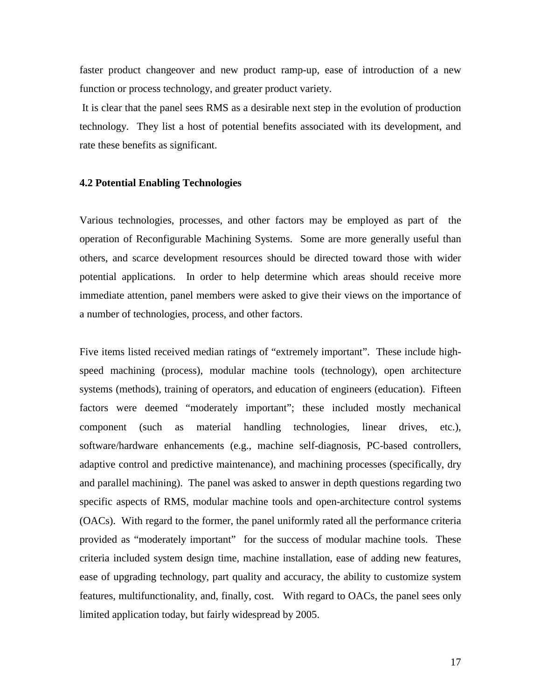faster product changeover and new product ramp-up, ease of introduction of a new function or process technology, and greater product variety.

 It is clear that the panel sees RMS as a desirable next step in the evolution of production technology. They list a host of potential benefits associated with its development, and rate these benefits as significant.

## **4.2 Potential Enabling Technologies**

Various technologies, processes, and other factors may be employed as part of the operation of Reconfigurable Machining Systems. Some are more generally useful than others, and scarce development resources should be directed toward those with wider potential applications. In order to help determine which areas should receive more immediate attention, panel members were asked to give their views on the importance of a number of technologies, process, and other factors.

Five items listed received median ratings of "extremely important". These include highspeed machining (process), modular machine tools (technology), open architecture systems (methods), training of operators, and education of engineers (education). Fifteen factors were deemed "moderately important"; these included mostly mechanical component (such as material handling technologies, linear drives, etc.), software/hardware enhancements (e.g., machine self-diagnosis, PC-based controllers, adaptive control and predictive maintenance), and machining processes (specifically, dry and parallel machining). The panel was asked to answer in depth questions regarding two specific aspects of RMS, modular machine tools and open-architecture control systems (OACs). With regard to the former, the panel uniformly rated all the performance criteria provided as "moderately important" for the success of modular machine tools. These criteria included system design time, machine installation, ease of adding new features, ease of upgrading technology, part quality and accuracy, the ability to customize system features, multifunctionality, and, finally, cost. With regard to OACs, the panel sees only limited application today, but fairly widespread by 2005.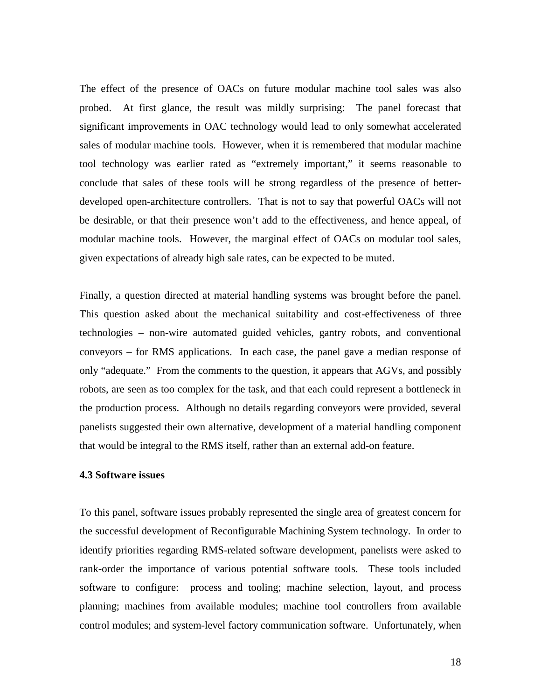The effect of the presence of OACs on future modular machine tool sales was also probed. At first glance, the result was mildly surprising: The panel forecast that significant improvements in OAC technology would lead to only somewhat accelerated sales of modular machine tools. However, when it is remembered that modular machine tool technology was earlier rated as "extremely important," it seems reasonable to conclude that sales of these tools will be strong regardless of the presence of betterdeveloped open-architecture controllers. That is not to say that powerful OACs will not be desirable, or that their presence won't add to the effectiveness, and hence appeal, of modular machine tools. However, the marginal effect of OACs on modular tool sales, given expectations of already high sale rates, can be expected to be muted.

Finally, a question directed at material handling systems was brought before the panel. This question asked about the mechanical suitability and cost-effectiveness of three technologies – non-wire automated guided vehicles, gantry robots, and conventional conveyors – for RMS applications. In each case, the panel gave a median response of only "adequate." From the comments to the question, it appears that AGVs, and possibly robots, are seen as too complex for the task, and that each could represent a bottleneck in the production process. Although no details regarding conveyors were provided, several panelists suggested their own alternative, development of a material handling component that would be integral to the RMS itself, rather than an external add-on feature.

## **4.3 Software issues**

To this panel, software issues probably represented the single area of greatest concern for the successful development of Reconfigurable Machining System technology. In order to identify priorities regarding RMS-related software development, panelists were asked to rank-order the importance of various potential software tools. These tools included software to configure: process and tooling; machine selection, layout, and process planning; machines from available modules; machine tool controllers from available control modules; and system-level factory communication software. Unfortunately, when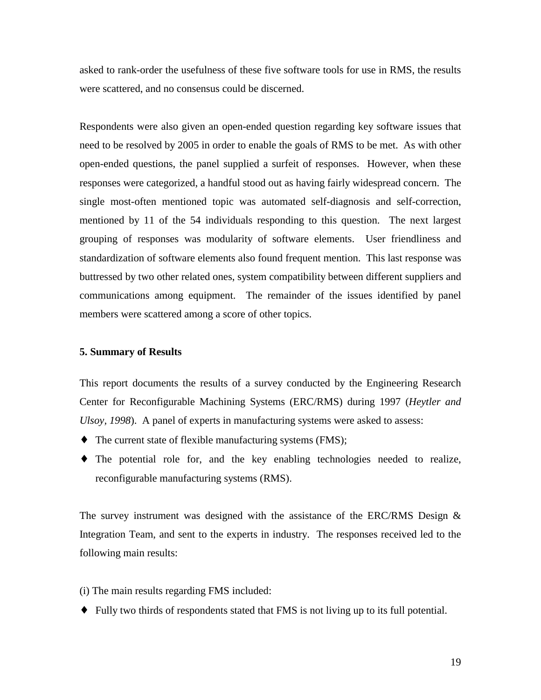asked to rank-order the usefulness of these five software tools for use in RMS, the results were scattered, and no consensus could be discerned.

Respondents were also given an open-ended question regarding key software issues that need to be resolved by 2005 in order to enable the goals of RMS to be met. As with other open-ended questions, the panel supplied a surfeit of responses. However, when these responses were categorized, a handful stood out as having fairly widespread concern. The single most-often mentioned topic was automated self-diagnosis and self-correction, mentioned by 11 of the 54 individuals responding to this question. The next largest grouping of responses was modularity of software elements. User friendliness and standardization of software elements also found frequent mention. This last response was buttressed by two other related ones, system compatibility between different suppliers and communications among equipment. The remainder of the issues identified by panel members were scattered among a score of other topics.

# **5. Summary of Results**

This report documents the results of a survey conducted by the Engineering Research Center for Reconfigurable Machining Systems (ERC/RMS) during 1997 (*Heytler and Ulsoy, 1998*). A panel of experts in manufacturing systems were asked to assess:

- ♦ The current state of flexible manufacturing systems (FMS);
- ♦ The potential role for, and the key enabling technologies needed to realize, reconfigurable manufacturing systems (RMS).

The survey instrument was designed with the assistance of the ERC/RMS Design  $\&$ Integration Team, and sent to the experts in industry. The responses received led to the following main results:

(i) The main results regarding FMS included:

♦ Fully two thirds of respondents stated that FMS is not living up to its full potential.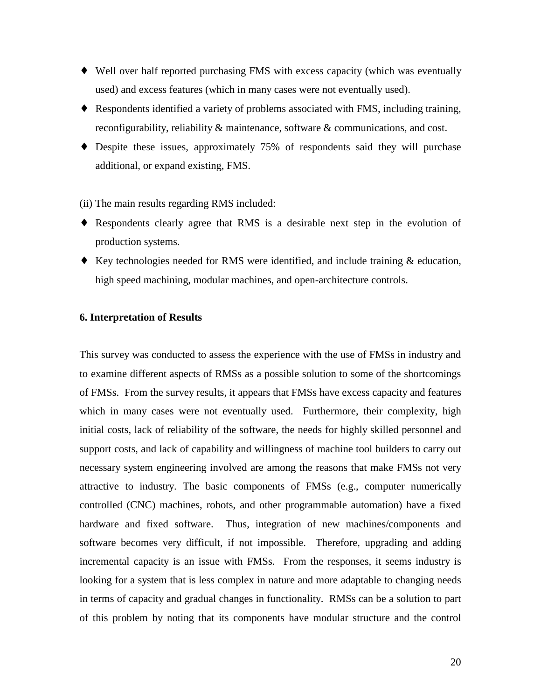- ♦ Well over half reported purchasing FMS with excess capacity (which was eventually used) and excess features (which in many cases were not eventually used).
- ♦ Respondents identified a variety of problems associated with FMS, including training, reconfigurability, reliability & maintenance, software & communications, and cost.
- ♦ Despite these issues, approximately 75% of respondents said they will purchase additional, or expand existing, FMS.

(ii) The main results regarding RMS included:

- ♦ Respondents clearly agree that RMS is a desirable next step in the evolution of production systems.
- ♦ Key technologies needed for RMS were identified, and include training & education, high speed machining, modular machines, and open-architecture controls.

# **6. Interpretation of Results**

This survey was conducted to assess the experience with the use of FMSs in industry and to examine different aspects of RMSs as a possible solution to some of the shortcomings of FMSs. From the survey results, it appears that FMSs have excess capacity and features which in many cases were not eventually used. Furthermore, their complexity, high initial costs, lack of reliability of the software, the needs for highly skilled personnel and support costs, and lack of capability and willingness of machine tool builders to carry out necessary system engineering involved are among the reasons that make FMSs not very attractive to industry. The basic components of FMSs (e.g., computer numerically controlled (CNC) machines, robots, and other programmable automation) have a fixed hardware and fixed software. Thus, integration of new machines/components and software becomes very difficult, if not impossible. Therefore, upgrading and adding incremental capacity is an issue with FMSs. From the responses, it seems industry is looking for a system that is less complex in nature and more adaptable to changing needs in terms of capacity and gradual changes in functionality. RMSs can be a solution to part of this problem by noting that its components have modular structure and the control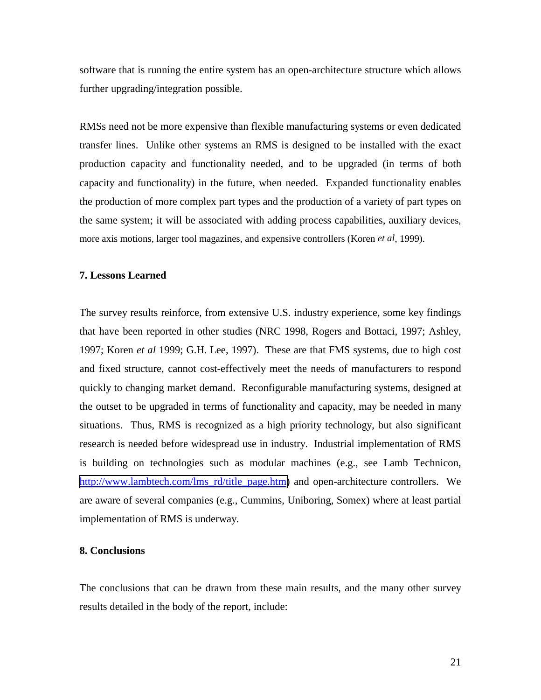software that is running the entire system has an open-architecture structure which allows further upgrading/integration possible.

RMSs need not be more expensive than flexible manufacturing systems or even dedicated transfer lines. Unlike other systems an RMS is designed to be installed with the exact production capacity and functionality needed, and to be upgraded (in terms of both capacity and functionality) in the future, when needed. Expanded functionality enables the production of more complex part types and the production of a variety of part types on the same system; it will be associated with adding process capabilities, auxiliary devices, more axis motions, larger tool magazines, and expensive controllers (Koren *et al*, 1999).

# **7. Lessons Learned**

The survey results reinforce, from extensive U.S. industry experience, some key findings that have been reported in other studies (NRC 1998, Rogers and Bottaci, 1997; Ashley, 1997; Koren *et al* 1999; G.H. Lee, 1997). These are that FMS systems, due to high cost and fixed structure, cannot cost-effectively meet the needs of manufacturers to respond quickly to changing market demand. Reconfigurable manufacturing systems, designed at the outset to be upgraded in terms of functionality and capacity, may be needed in many situations. Thus, RMS is recognized as a high priority technology, but also significant research is needed before widespread use in industry. Industrial implementation of RMS is building on technologies such as modular machines (e.g., see Lamb Technicon, [http://www.lambtech.com/lms\\_rd/title\\_page.htm\)](http://www.lambtech.com/lms_rd/title_page.htm) and open-architecture controllers. We are aware of several companies (e.g., Cummins, Uniboring, Somex) where at least partial implementation of RMS is underway.

## **8. Conclusions**

The conclusions that can be drawn from these main results, and the many other survey results detailed in the body of the report, include: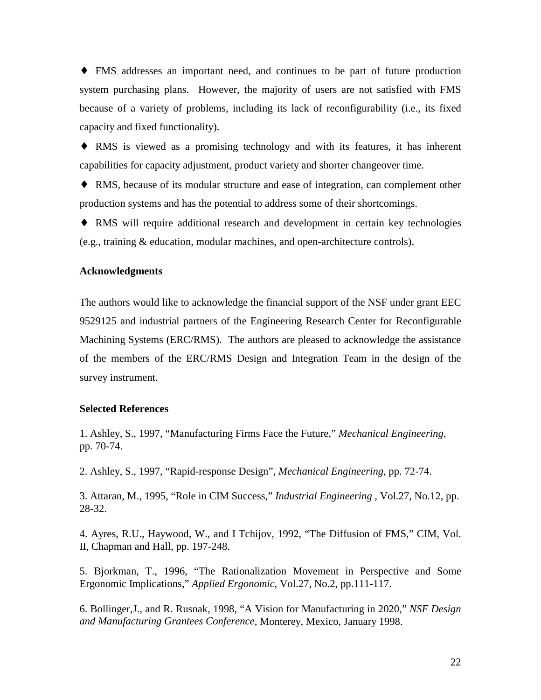♦ FMS addresses an important need, and continues to be part of future production system purchasing plans. However, the majority of users are not satisfied with FMS because of a variety of problems, including its lack of reconfigurability (i.e., its fixed capacity and fixed functionality).

♦ RMS is viewed as a promising technology and with its features, it has inherent capabilities for capacity adjustment, product variety and shorter changeover time.

♦ RMS, because of its modular structure and ease of integration, can complement other production systems and has the potential to address some of their shortcomings.

♦ RMS will require additional research and development in certain key technologies (e.g., training & education, modular machines, and open-architecture controls).

#### **Acknowledgments**

The authors would like to acknowledge the financial support of the NSF under grant EEC 9529125 and industrial partners of the Engineering Research Center for Reconfigurable Machining Systems (ERC/RMS). The authors are pleased to acknowledge the assistance of the members of the ERC/RMS Design and Integration Team in the design of the survey instrument.

# **Selected References**

1. Ashley, S., 1997, "Manufacturing Firms Face the Future," *Mechanical Engineering*, pp. 70-74.

2. Ashley, S., 1997, "Rapid-response Design", *Mechanical Engineering*, pp. 72-74.

3. Attaran, M., 1995, "Role in CIM Success," *Industrial Engineering* , Vol.27, No.12, pp. 28-32.

4. Ayres, R.U., Haywood, W., and I Tchijov, 1992, "The Diffusion of FMS," CIM, Vol. II, Chapman and Hall, pp. 197-248.

5. Bjorkman, T., 1996, "The Rationalization Movement in Perspective and Some Ergonomic Implications," *Applied Ergonomic*, Vol.27, No.2, pp.111-117.

6. Bollinger,J., and R. Rusnak, 1998, "A Vision for Manufacturing in 2020," *NSF Design and Manufacturing Grantees Conference*, Monterey, Mexico, January 1998.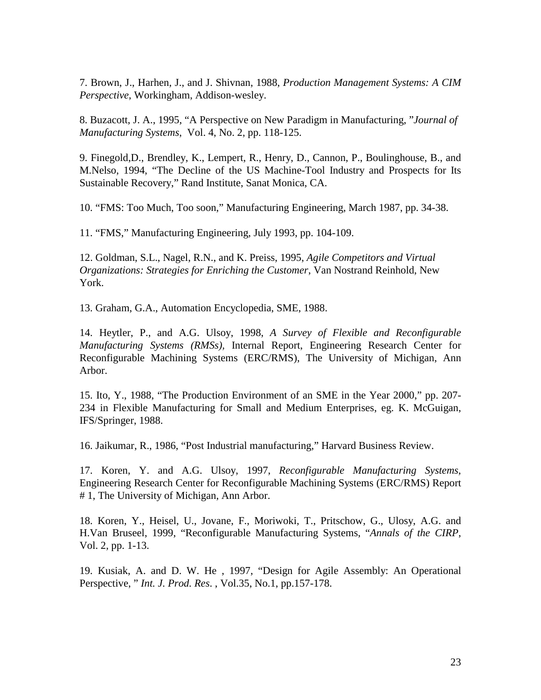7. Brown, J., Harhen, J., and J. Shivnan, 1988, *Production Management Systems: A CIM Perspective*, Workingham, Addison-wesley.

8. Buzacott, J. A., 1995, "A Perspective on New Paradigm in Manufacturing, "*Journal of Manufacturing Systems*, Vol. 4, No. 2, pp. 118-125.

9. Finegold,D., Brendley, K., Lempert, R., Henry, D., Cannon, P., Boulinghouse, B., and M.Nelso, 1994, "The Decline of the US Machine-Tool Industry and Prospects for Its Sustainable Recovery," Rand Institute, Sanat Monica, CA.

10. "FMS: Too Much, Too soon," Manufacturing Engineering, March 1987, pp. 34-38.

11. "FMS," Manufacturing Engineering, July 1993, pp. 104-109.

12. Goldman, S.L., Nagel, R.N., and K. Preiss, 1995, *Agile Competitors and Virtual Organizations: Strategies for Enriching the Customer*, Van Nostrand Reinhold, New York.

13. Graham, G.A., Automation Encyclopedia, SME, 1988.

14. Heytler, P., and A.G. Ulsoy, 1998, *A Survey of Flexible and Reconfigurable Manufacturing Systems (RMSs),* Internal Report, Engineering Research Center for Reconfigurable Machining Systems (ERC/RMS), The University of Michigan, Ann Arbor.

15. Ito, Y., 1988, "The Production Environment of an SME in the Year 2000," pp. 207- 234 in Flexible Manufacturing for Small and Medium Enterprises, eg. K. McGuigan, IFS/Springer, 1988.

16. Jaikumar, R., 1986, "Post Industrial manufacturing," Harvard Business Review.

17. Koren, Y. and A.G. Ulsoy, 1997, *Reconfigurable Manufacturing Systems,* Engineering Research Center for Reconfigurable Machining Systems (ERC/RMS) Report # 1, The University of Michigan, Ann Arbor.

18. Koren, Y., Heisel, U., Jovane, F., Moriwoki, T., Pritschow, G., Ulosy, A.G. and H.Van Bruseel, 1999, "Reconfigurable Manufacturing Systems, "*Annals of the CIRP*, Vol. 2, pp. 1-13.

19. Kusiak, A. and D. W. He , 1997, "Design for Agile Assembly: An Operational Perspective, " *Int. J. Prod. Res*. , Vol.35, No.1, pp.157-178.